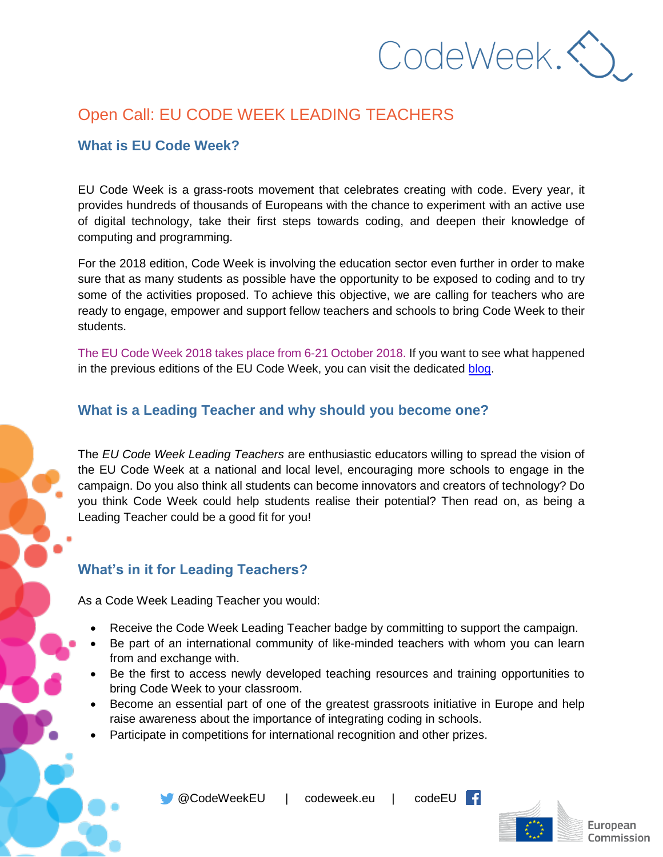CodeWeek.

# Open Call: EU CODE WEEK LEADING TEACHERS

#### **What is EU Code Week?**

EU Code Week is a grass-roots movement that celebrates creating with code. Every year, it provides hundreds of thousands of Europeans with the chance to experiment with an active use of digital technology, take their first steps towards coding, and deepen their knowledge of computing and programming.

For the 2018 edition, Code Week is involving the education sector even further in order to make sure that as many students as possible have the opportunity to be exposed to coding and to try some of the activities proposed. To achieve this objective, we are calling for teachers who are ready to engage, empower and support fellow teachers and schools to bring Code Week to their students.

The EU Code Week 2018 takes place from 6-21 October 2018. If you want to see what happened in the previous editions of the EU Code Week, you can visit the dedicated [blog.](http://codeweek.eu/about/)

#### **What is a Leading Teacher and why should you become one?**

The *EU Code Week Leading Teachers* are enthusiastic educators willing to spread the vision of the EU Code Week at a national and local level, encouraging more schools to engage in the campaign. Do you also think all students can become innovators and creators of technology? Do you think Code Week could help students realise their potential? Then read on, as being a Leading Teacher could be a good fit for you!

## **What's in it for Leading Teachers?**

As a Code Week Leading Teacher you would:

- Receive the Code Week Leading Teacher badge by committing to support the campaign.
- Be part of an international community of like-minded teachers with whom you can learn from and exchange with.
- Be the first to access newly developed teaching resources and training opportunities to bring Code Week to your classroom.
- Become an essential part of one of the greatest grassroots initiative in Europe and help raise awareness about the importance of integrating coding in schools.
- Participate in competitions for international recognition and other prizes.